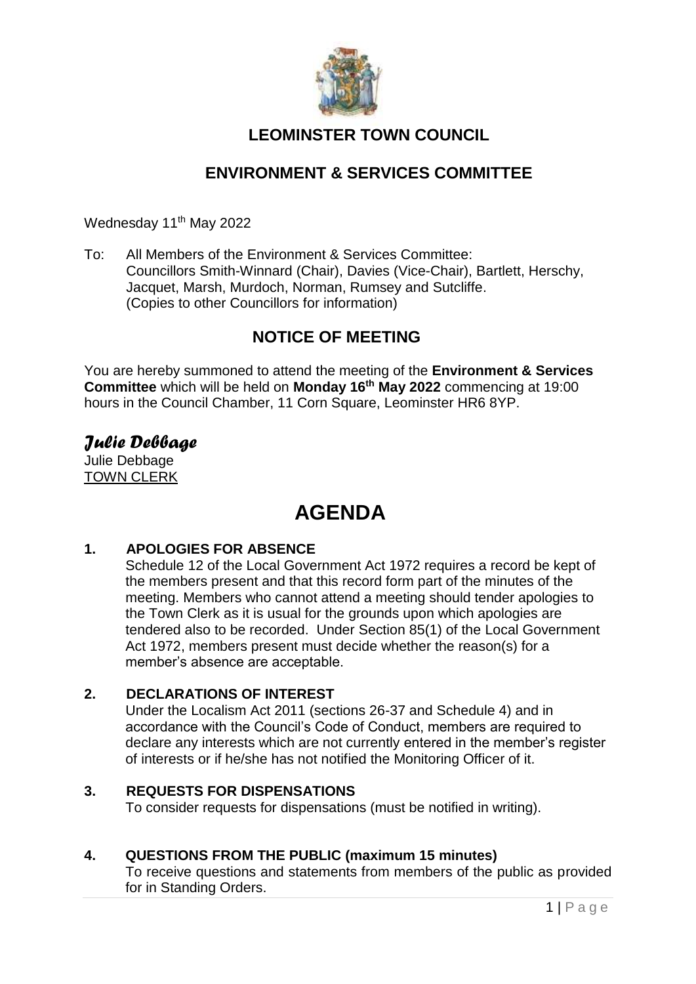

# **LEOMINSTER TOWN COUNCIL**

# **ENVIRONMENT & SERVICES COMMITTEE**

Wednesday 11<sup>th</sup> May 2022

To: All Members of the Environment & Services Committee: Councillors Smith-Winnard (Chair), Davies (Vice-Chair), Bartlett, Herschy, Jacquet, Marsh, Murdoch, Norman, Rumsey and Sutcliffe. (Copies to other Councillors for information)

## **NOTICE OF MEETING**

You are hereby summoned to attend the meeting of the **Environment & Services Committee** which will be held on **Monday 16th May 2022** commencing at 19:00 hours in the Council Chamber, 11 Corn Square, Leominster HR6 8YP.

# *Julie Debbage*

Julie Debbage TOWN CLERK

# **AGENDA**

## **1. APOLOGIES FOR ABSENCE**

Schedule 12 of the Local Government Act 1972 requires a record be kept of the members present and that this record form part of the minutes of the meeting. Members who cannot attend a meeting should tender apologies to the Town Clerk as it is usual for the grounds upon which apologies are tendered also to be recorded. Under Section 85(1) of the Local Government Act 1972, members present must decide whether the reason(s) for a member's absence are acceptable.

## **2. DECLARATIONS OF INTEREST**

Under the Localism Act 2011 (sections 26-37 and Schedule 4) and in accordance with the Council's Code of Conduct, members are required to declare any interests which are not currently entered in the member's register of interests or if he/she has not notified the Monitoring Officer of it.

## **3. REQUESTS FOR DISPENSATIONS**

To consider requests for dispensations (must be notified in writing).

## **4. QUESTIONS FROM THE PUBLIC (maximum 15 minutes)**

To receive questions and statements from members of the public as provided for in Standing Orders.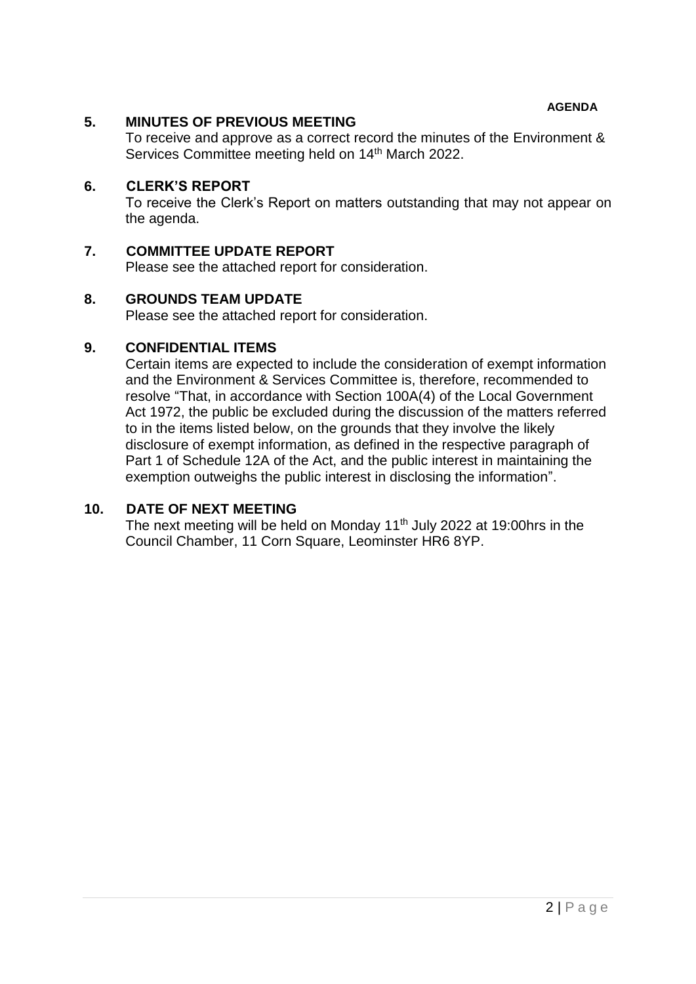**AGENDA**

## **5. MINUTES OF PREVIOUS MEETING**

To receive and approve as a correct record the minutes of the Environment & Services Committee meeting held on 14<sup>th</sup> March 2022.

## **6. CLERK'S REPORT**

To receive the Clerk's Report on matters outstanding that may not appear on the agenda.

## **7. COMMITTEE UPDATE REPORT**

Please see the attached report for consideration.

#### **8. GROUNDS TEAM UPDATE**

Please see the attached report for consideration.

## **9. CONFIDENTIAL ITEMS**

Certain items are expected to include the consideration of exempt information and the Environment & Services Committee is, therefore, recommended to resolve "That, in accordance with Section 100A(4) of the Local Government Act 1972, the public be excluded during the discussion of the matters referred to in the items listed below, on the grounds that they involve the likely disclosure of exempt information, as defined in the respective paragraph of Part 1 of Schedule 12A of the Act, and the public interest in maintaining the exemption outweighs the public interest in disclosing the information".

#### **10. DATE OF NEXT MEETING**

The next meeting will be held on Monday  $11<sup>th</sup>$  July 2022 at 19:00hrs in the Council Chamber, 11 Corn Square, Leominster HR6 8YP.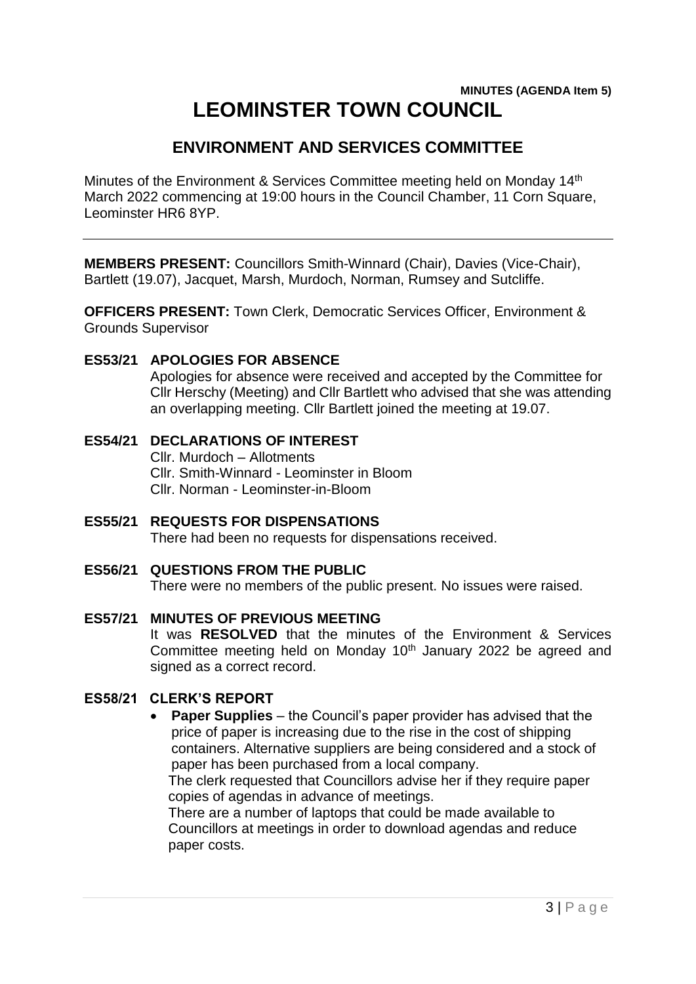## **MINUTES (AGENDA Item 5) LEOMINSTER TOWN COUNCIL**

# **ENVIRONMENT AND SERVICES COMMITTEE**

Minutes of the Environment & Services Committee meeting held on Monday 14<sup>th</sup> March 2022 commencing at 19:00 hours in the Council Chamber, 11 Corn Square, Leominster HR6 8YP.

**MEMBERS PRESENT:** Councillors Smith-Winnard (Chair), Davies (Vice-Chair), Bartlett (19.07), Jacquet, Marsh, Murdoch, Norman, Rumsey and Sutcliffe.

**OFFICERS PRESENT:** Town Clerk, Democratic Services Officer, Environment & Grounds Supervisor

#### **ES53/21 APOLOGIES FOR ABSENCE**

Apologies for absence were received and accepted by the Committee for Cllr Herschy (Meeting) and Cllr Bartlett who advised that she was attending an overlapping meeting. Cllr Bartlett joined the meeting at 19.07.

## **ES54/21 DECLARATIONS OF INTEREST** Cllr. Murdoch – Allotments Cllr. Smith-Winnard - Leominster in Bloom Cllr. Norman - Leominster-in-Bloom

**ES55/21 REQUESTS FOR DISPENSATIONS** There had been no requests for dispensations received.

## **ES56/21 QUESTIONS FROM THE PUBLIC**

There were no members of the public present. No issues were raised.

#### **ES57/21 MINUTES OF PREVIOUS MEETING**

It was **RESOLVED** that the minutes of the Environment & Services Committee meeting held on Monday 10<sup>th</sup> January 2022 be agreed and signed as a correct record.

## **ES58/21 CLERK'S REPORT**

 **Paper Supplies** – the Council's paper provider has advised that the price of paper is increasing due to the rise in the cost of shipping containers. Alternative suppliers are being considered and a stock of paper has been purchased from a local company.

The clerk requested that Councillors advise her if they require paper copies of agendas in advance of meetings.

There are a number of laptops that could be made available to Councillors at meetings in order to download agendas and reduce paper costs.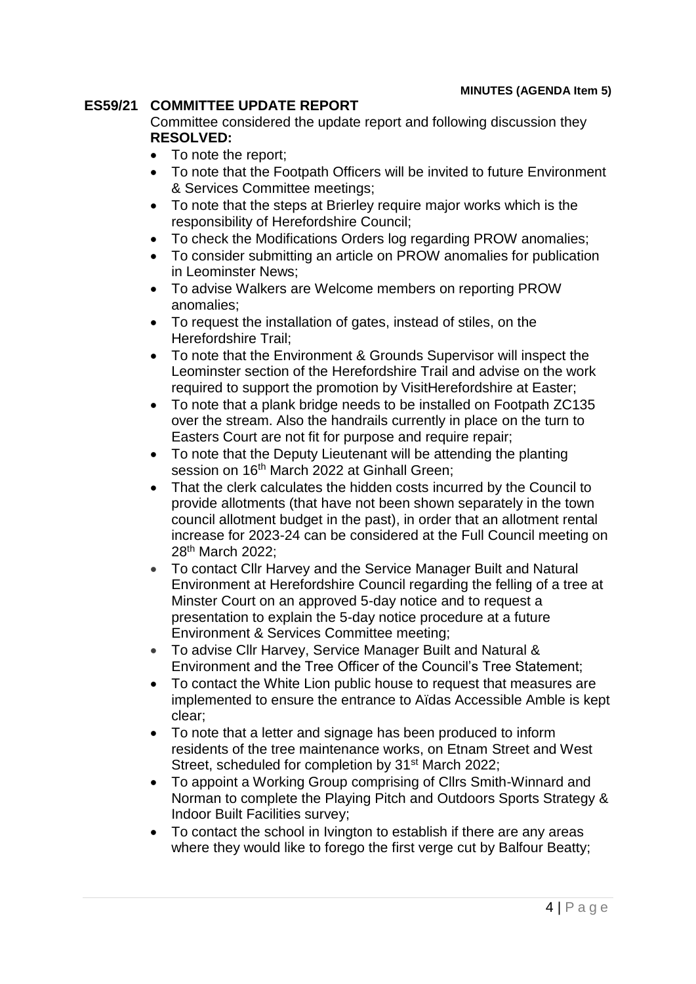## **ES59/21 COMMITTEE UPDATE REPORT**

Committee considered the update report and following discussion they **RESOLVED:**

- To note the report;
- To note that the Footpath Officers will be invited to future Environment & Services Committee meetings;
- To note that the steps at Brierley require major works which is the responsibility of Herefordshire Council;
- To check the Modifications Orders log regarding PROW anomalies;
- To consider submitting an article on PROW anomalies for publication in Leominster News;
- To advise Walkers are Welcome members on reporting PROW anomalies;
- To request the installation of gates, instead of stiles, on the Herefordshire Trail;
- To note that the Environment & Grounds Supervisor will inspect the Leominster section of the Herefordshire Trail and advise on the work required to support the promotion by VisitHerefordshire at Easter;
- To note that a plank bridge needs to be installed on Footpath ZC135 over the stream. Also the handrails currently in place on the turn to Easters Court are not fit for purpose and require repair;
- To note that the Deputy Lieutenant will be attending the planting session on 16<sup>th</sup> March 2022 at Ginhall Green:
- That the clerk calculates the hidden costs incurred by the Council to provide allotments (that have not been shown separately in the town council allotment budget in the past), in order that an allotment rental increase for 2023-24 can be considered at the Full Council meeting on 28th March 2022;
- To contact Cllr Harvey and the Service Manager Built and Natural Environment at Herefordshire Council regarding the felling of a tree at Minster Court on an approved 5-day notice and to request a presentation to explain the 5-day notice procedure at a future Environment & Services Committee meeting;
- To advise Cllr Harvey, Service Manager Built and Natural & Environment and the Tree Officer of the Council's Tree Statement;
- To contact the White Lion public house to request that measures are implemented to ensure the entrance to Aïdas Accessible Amble is kept clear;
- To note that a letter and signage has been produced to inform residents of the tree maintenance works, on Etnam Street and West Street, scheduled for completion by 31<sup>st</sup> March 2022;
- To appoint a Working Group comprising of Cllrs Smith-Winnard and Norman to complete the Playing Pitch and Outdoors Sports Strategy & Indoor Built Facilities survey;
- To contact the school in Ivington to establish if there are any areas where they would like to forego the first verge cut by Balfour Beatty;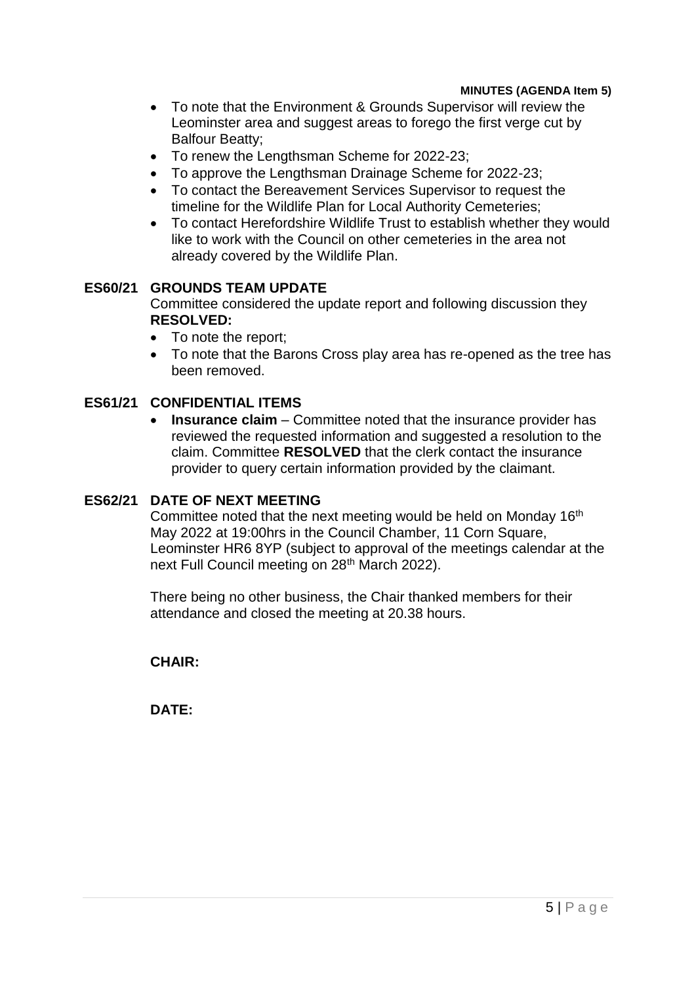#### **MINUTES (AGENDA Item 5)**

- To note that the Environment & Grounds Supervisor will review the Leominster area and suggest areas to forego the first verge cut by Balfour Beatty;
- To renew the Lengthsman Scheme for 2022-23;
- To approve the Lengthsman Drainage Scheme for 2022-23;
- To contact the Bereavement Services Supervisor to request the timeline for the Wildlife Plan for Local Authority Cemeteries;
- To contact Herefordshire Wildlife Trust to establish whether they would like to work with the Council on other cemeteries in the area not already covered by the Wildlife Plan.

#### **ES60/21 GROUNDS TEAM UPDATE**

Committee considered the update report and following discussion they **RESOLVED:**

- To note the report:
- To note that the Barons Cross play area has re-opened as the tree has been removed.

#### **ES61/21 CONFIDENTIAL ITEMS**

**Insurance claim** – Committee noted that the insurance provider has reviewed the requested information and suggested a resolution to the claim. Committee **RESOLVED** that the clerk contact the insurance provider to query certain information provided by the claimant.

#### **ES62/21 DATE OF NEXT MEETING**

Committee noted that the next meeting would be held on Monday 16<sup>th</sup> May 2022 at 19:00hrs in the Council Chamber, 11 Corn Square, Leominster HR6 8YP (subject to approval of the meetings calendar at the next Full Council meeting on 28<sup>th</sup> March 2022).

There being no other business, the Chair thanked members for their attendance and closed the meeting at 20.38 hours.

**CHAIR:**

**DATE:**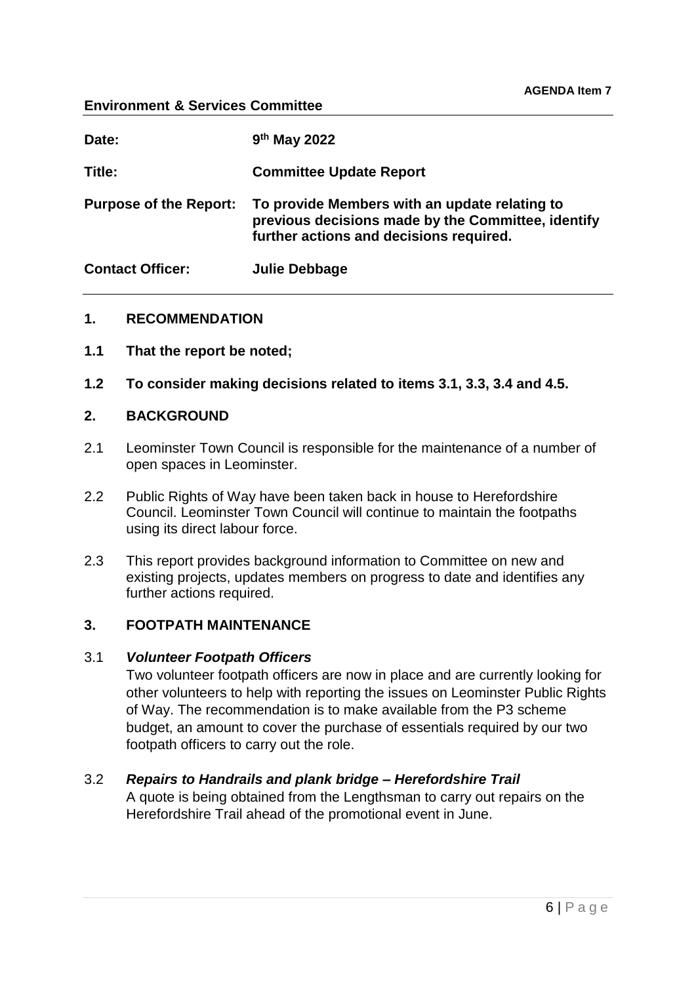#### **Environment & Services Committee**

| Date:                         | 9 <sup>th</sup> May 2022                                                                                                                       |
|-------------------------------|------------------------------------------------------------------------------------------------------------------------------------------------|
| Title:                        | <b>Committee Update Report</b>                                                                                                                 |
| <b>Purpose of the Report:</b> | To provide Members with an update relating to<br>previous decisions made by the Committee, identify<br>further actions and decisions required. |
| <b>Contact Officer:</b>       | Julie Debbage                                                                                                                                  |

#### **1. RECOMMENDATION**

- **1.1 That the report be noted;**
- **1.2 To consider making decisions related to items 3.1, 3.3, 3.4 and 4.5.**

#### **2. BACKGROUND**

- 2.1 Leominster Town Council is responsible for the maintenance of a number of open spaces in Leominster.
- 2.2 Public Rights of Way have been taken back in house to Herefordshire Council. Leominster Town Council will continue to maintain the footpaths using its direct labour force.
- 2.3 This report provides background information to Committee on new and existing projects, updates members on progress to date and identifies any further actions required.

## **3. FOOTPATH MAINTENANCE**

#### 3.1 *Volunteer Footpath Officers*

Two volunteer footpath officers are now in place and are currently looking for other volunteers to help with reporting the issues on Leominster Public Rights of Way. The recommendation is to make available from the P3 scheme budget, an amount to cover the purchase of essentials required by our two footpath officers to carry out the role.

#### 3.2 *Repairs to Handrails and plank bridge – Herefordshire Trail*

A quote is being obtained from the Lengthsman to carry out repairs on the Herefordshire Trail ahead of the promotional event in June.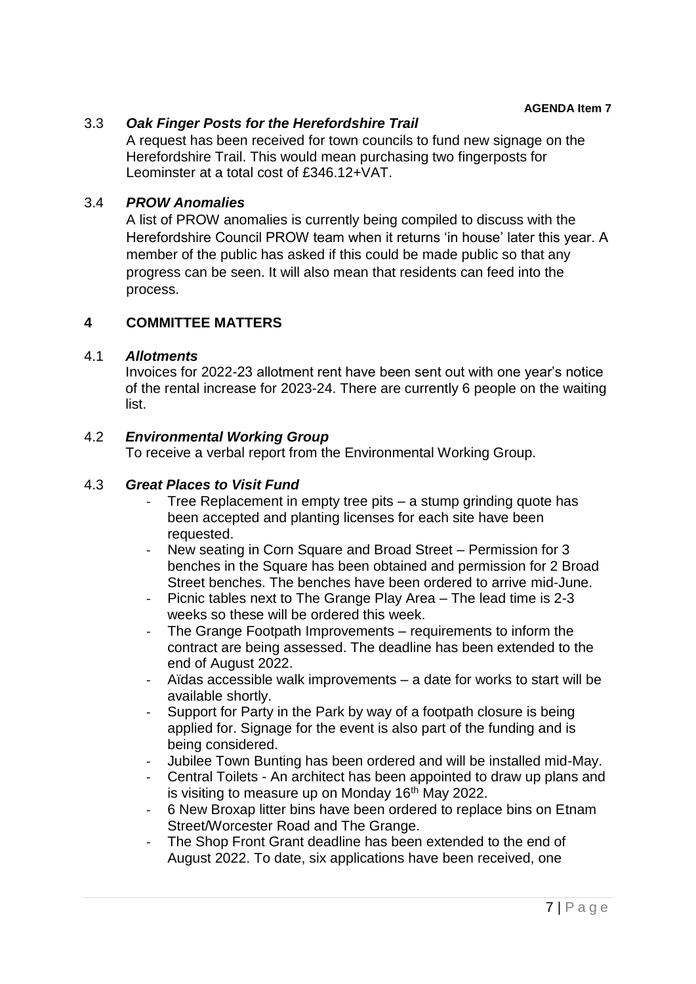## 3.3 *Oak Finger Posts for the Herefordshire Trail*

A request has been received for town councils to fund new signage on the Herefordshire Trail. This would mean purchasing two fingerposts for Leominster at a total cost of £346.12+VAT.

## 3.4 *PROW Anomalies*

A list of PROW anomalies is currently being compiled to discuss with the Herefordshire Council PROW team when it returns 'in house' later this year. A member of the public has asked if this could be made public so that any progress can be seen. It will also mean that residents can feed into the process.

## **4 COMMITTEE MATTERS**

#### 4.1 *Allotments*

Invoices for 2022-23 allotment rent have been sent out with one year's notice of the rental increase for 2023-24. There are currently 6 people on the waiting list.

## 4.2 *Environmental Working Group*

To receive a verbal report from the Environmental Working Group.

## 4.3 *Great Places to Visit Fund*

- Tree Replacement in empty tree pits a stump grinding quote has been accepted and planting licenses for each site have been requested.
- New seating in Corn Square and Broad Street Permission for 3 benches in the Square has been obtained and permission for 2 Broad Street benches. The benches have been ordered to arrive mid-June.
- Picnic tables next to The Grange Play Area The lead time is 2-3 weeks so these will be ordered this week.
- The Grange Footpath Improvements requirements to inform the contract are being assessed. The deadline has been extended to the end of August 2022.
- Aïdas accessible walk improvements a date for works to start will be available shortly.
- Support for Party in the Park by way of a footpath closure is being applied for. Signage for the event is also part of the funding and is being considered.
- Jubilee Town Bunting has been ordered and will be installed mid-May.
- Central Toilets An architect has been appointed to draw up plans and is visiting to measure up on Monday 16<sup>th</sup> May 2022.
- 6 New Broxap litter bins have been ordered to replace bins on Etnam Street/Worcester Road and The Grange.
- The Shop Front Grant deadline has been extended to the end of August 2022. To date, six applications have been received, one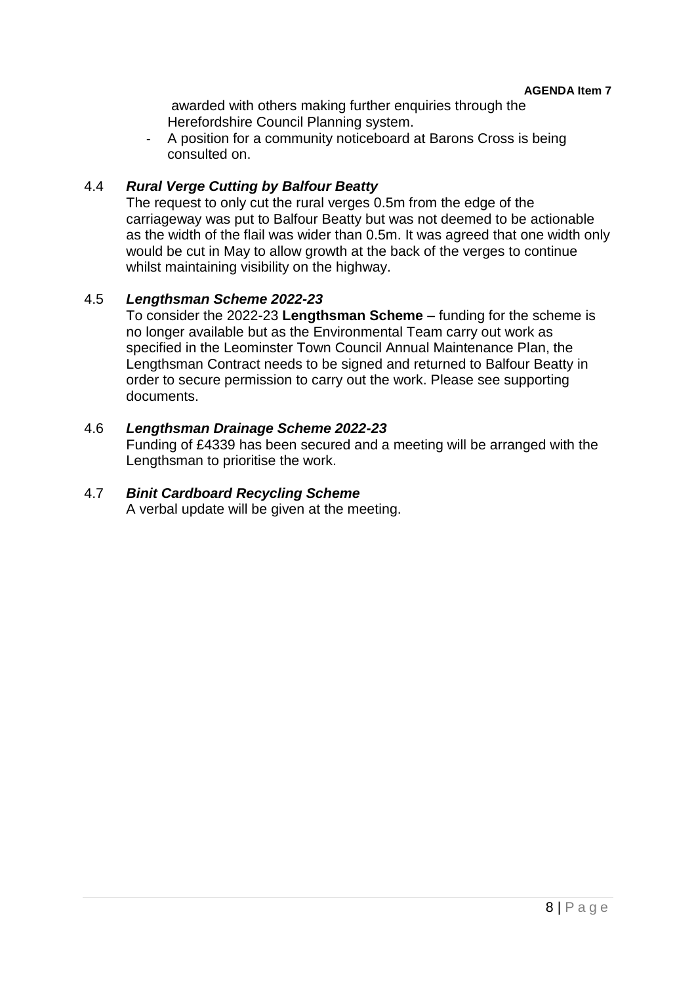awarded with others making further enquiries through the Herefordshire Council Planning system.

- A position for a community noticeboard at Barons Cross is being consulted on.

## 4.4 *Rural Verge Cutting by Balfour Beatty*

The request to only cut the rural verges 0.5m from the edge of the carriageway was put to Balfour Beatty but was not deemed to be actionable as the width of the flail was wider than 0.5m. It was agreed that one width only would be cut in May to allow growth at the back of the verges to continue whilst maintaining visibility on the highway.

#### 4.5 *Lengthsman Scheme 2022-23*

To consider the 2022-23 **Lengthsman Scheme** – funding for the scheme is no longer available but as the Environmental Team carry out work as specified in the Leominster Town Council Annual Maintenance Plan, the Lengthsman Contract needs to be signed and returned to Balfour Beatty in order to secure permission to carry out the work. Please see supporting documents.

#### 4.6 *Lengthsman Drainage Scheme 2022-23*

Funding of £4339 has been secured and a meeting will be arranged with the Lengthsman to prioritise the work.

## 4.7 *Binit Cardboard Recycling Scheme*

A verbal update will be given at the meeting.